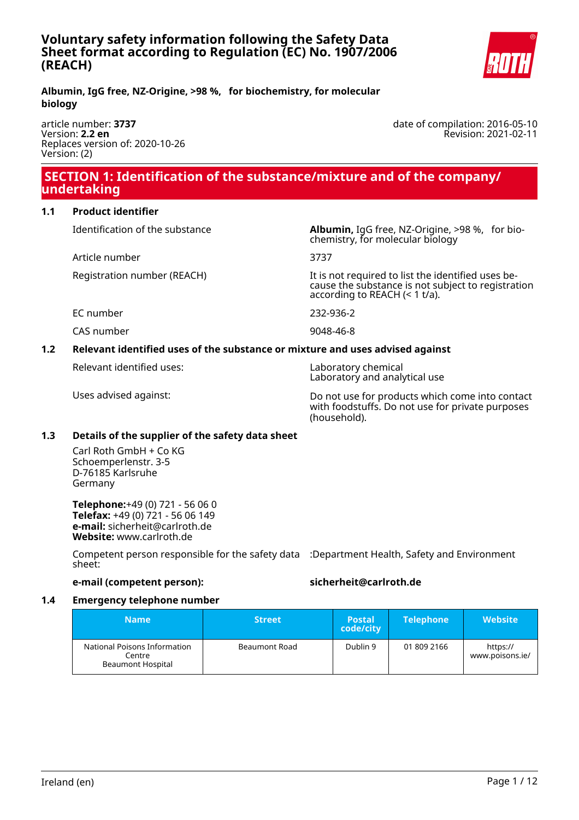

**Albumin, IgG free, NZ-Origine, >98 %, for biochemistry, for molecular biology**

article number: **3737** Version: **2.2 en** Replaces version of: 2020-10-26 Version: (2)

 **SECTION 1: Identification of the substance/mixture and of the company/ undertaking**

**1.1 Product identifier**

Identification of the substance **Albumin,** IgG free, NZ-Origine, >98 %, for bio-

Article number 3737

Registration number (REACH) The state of the identified uses be-

EC number 232-936-2

CAS number 9048-46-8

## **1.2 Relevant identified uses of the substance or mixture and uses advised against**

Relevant identified uses: Laboratory chemical

Laboratory and analytical use

according to REACH (< 1 t/a).

chemistry, for molecular biology

Uses advised against: Do not use for products which come into contact with foodstuffs. Do not use for private purposes (household).

cause the substance is not subject to registration

## **1.3 Details of the supplier of the safety data sheet**

Carl Roth GmbH + Co KG Schoemperlenstr. 3-5 D-76185 Karlsruhe Germany

**Telephone:**+49 (0) 721 - 56 06 0 **Telefax:** +49 (0) 721 - 56 06 149 **e-mail:** sicherheit@carlroth.de **Website:** www.carlroth.de

Competent person responsible for the safety data :Department Health, Safety and Environment sheet:

## **e-mail (competent person): sicherheit@carlroth.de**

## **1.4 Emergency telephone number**

| <b>Name</b>                                                        | <b>Street</b> | <b>Postal</b><br>code/city | <b>Telephone</b> | <b>Website</b>              |
|--------------------------------------------------------------------|---------------|----------------------------|------------------|-----------------------------|
| National Poisons Information<br>Centre<br><b>Beaumont Hospital</b> | Beaumont Road | Dublin 9                   | 01 809 2166      | https://<br>www.poisons.ie/ |

date of compilation: 2016-05-10 Revision: 2021-02-11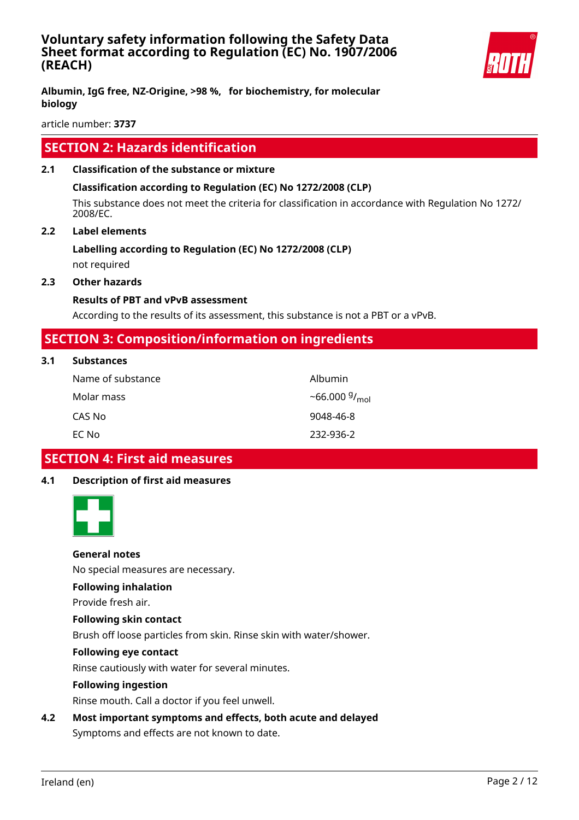

article number: **3737**

# **SECTION 2: Hazards identification**

## **2.1 Classification of the substance or mixture**

## **Classification according to Regulation (EC) No 1272/2008 (CLP)**

This substance does not meet the criteria for classification in accordance with Regulation No 1272/ 2008/EC.

## **2.2 Label elements**

## **Labelling according to Regulation (EC) No 1272/2008 (CLP)**

not required

## **2.3 Other hazards**

## **Results of PBT and vPvB assessment**

According to the results of its assessment, this substance is not a PBT or a vPvB.

# **SECTION 3: Composition/information on ingredients**

## **3.1 Substances**

| Name of substance | Albumin                   |
|-------------------|---------------------------|
| Molar mass        | ~66.000 $9/_{\text{mol}}$ |
| CAS No            | 9048-46-8                 |
| EC No             | 232-936-2                 |

# **SECTION 4: First aid measures**

## **4.1 Description of first aid measures**



## **General notes**

No special measures are necessary.

## **Following inhalation**

Provide fresh air.

## **Following skin contact**

Brush off loose particles from skin. Rinse skin with water/shower.

## **Following eye contact**

Rinse cautiously with water for several minutes.

## **Following ingestion**

Rinse mouth. Call a doctor if you feel unwell.

## **4.2 Most important symptoms and effects, both acute and delayed** Symptoms and effects are not known to date.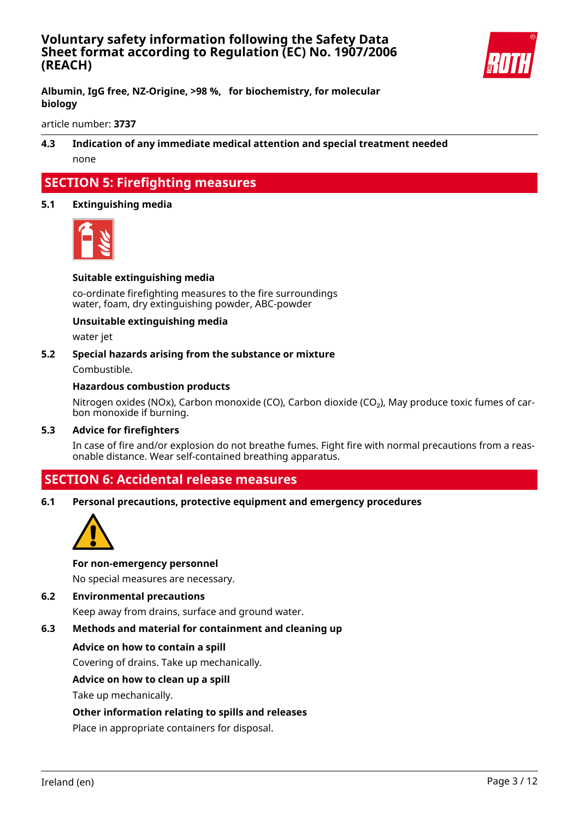

**Albumin, IgG free, NZ-Origine, >98 %, for biochemistry, for molecular biology**

article number: **3737**

**4.3 Indication of any immediate medical attention and special treatment needed** none

# **SECTION 5: Firefighting measures**

## **5.1 Extinguishing media**



## **Suitable extinguishing media**

co-ordinate firefighting measures to the fire surroundings water, foam, dry extinguishing powder, ABC-powder

## **Unsuitable extinguishing media**

water jet

## **5.2 Special hazards arising from the substance or mixture**

Combustible.

## **Hazardous combustion products**

Nitrogen oxides (NOx), Carbon monoxide (CO), Carbon dioxide (CO<sub>2</sub>), May produce toxic fumes of carbon monoxide if burning.

## **5.3 Advice for firefighters**

In case of fire and/or explosion do not breathe fumes. Fight fire with normal precautions from a reasonable distance. Wear self-contained breathing apparatus.

# **SECTION 6: Accidental release measures**

**6.1 Personal precautions, protective equipment and emergency procedures**



## **For non-emergency personnel**

No special measures are necessary.

**6.2 Environmental precautions**

Keep away from drains, surface and ground water.

## **6.3 Methods and material for containment and cleaning up**

## **Advice on how to contain a spill**

Covering of drains. Take up mechanically.

## **Advice on how to clean up a spill**

Take up mechanically.

## **Other information relating to spills and releases**

Place in appropriate containers for disposal.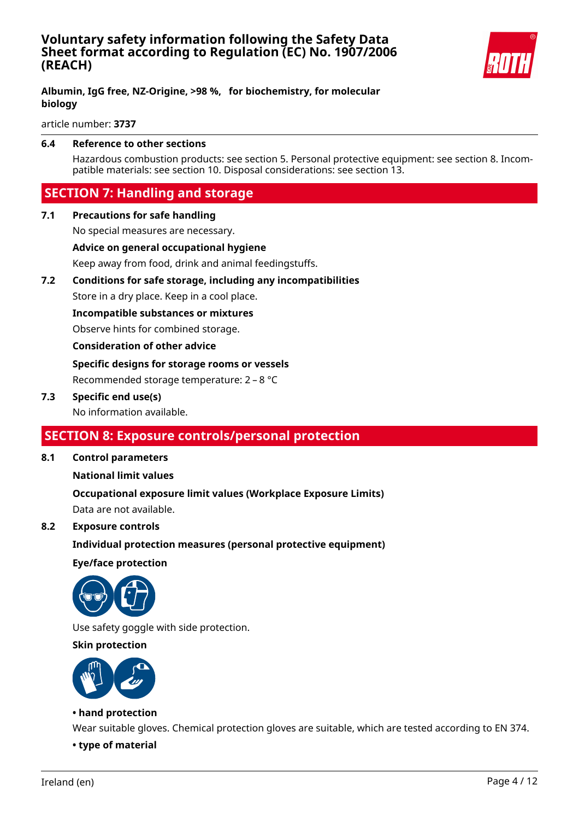

## **Albumin, IgG free, NZ-Origine, >98 %, for biochemistry, for molecular biology**

article number: **3737**

## **6.4 Reference to other sections**

Hazardous combustion products: see section 5. Personal protective equipment: see section 8. Incompatible materials: see section 10. Disposal considerations: see section 13.

# **SECTION 7: Handling and storage**

**7.1 Precautions for safe handling**

No special measures are necessary.

**Advice on general occupational hygiene**

Keep away from food, drink and animal feedingstuffs.

## **7.2 Conditions for safe storage, including any incompatibilities**

Store in a dry place. Keep in a cool place.

**Incompatible substances or mixtures**

Observe hints for combined storage.

## **Consideration of other advice**

**Specific designs for storage rooms or vessels** Recommended storage temperature: 2 – 8 °C

## **7.3 Specific end use(s)**

No information available.

# **SECTION 8: Exposure controls/personal protection**

**8.1 Control parameters**

## **National limit values**

## **Occupational exposure limit values (Workplace Exposure Limits)**

Data are not available.

## **8.2 Exposure controls**

## **Individual protection measures (personal protective equipment)**

**Eye/face protection**



Use safety goggle with side protection.

## **Skin protection**



## **• hand protection**

Wear suitable gloves. Chemical protection gloves are suitable, which are tested according to EN 374.

**• type of material**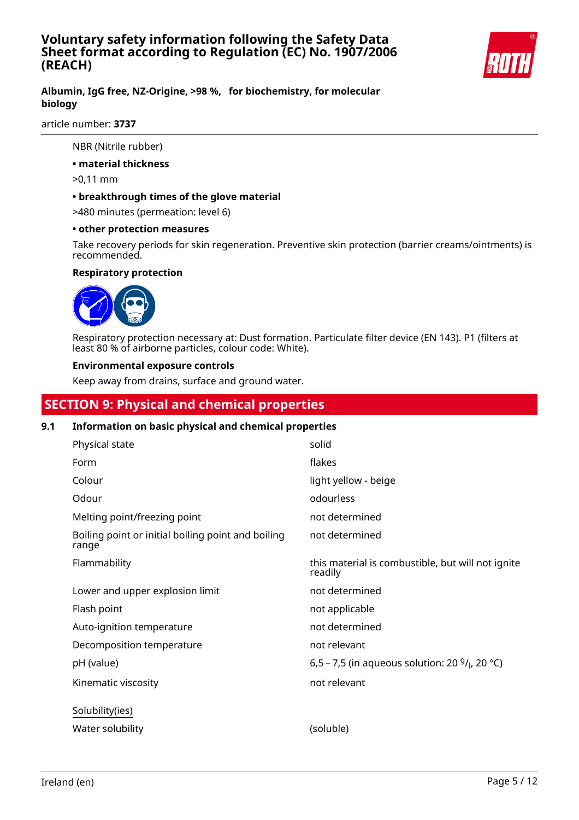

## **Albumin, IgG free, NZ-Origine, >98 %, for biochemistry, for molecular biology**

article number: **3737**

NBR (Nitrile rubber)

**• material thickness**

>0,11 mm

## **• breakthrough times of the glove material**

>480 minutes (permeation: level 6)

## **• other protection measures**

Take recovery periods for skin regeneration. Preventive skin protection (barrier creams/ointments) is recommended.

## **Respiratory protection**



Respiratory protection necessary at: Dust formation. Particulate filter device (EN 143). P1 (filters at least 80 % of airborne particles, colour code: White).

## **Environmental exposure controls**

Keep away from drains, surface and ground water.

# **SECTION 9: Physical and chemical properties**

## **9.1 Information on basic physical and chemical properties**

| Physical state                                              | solid                                                        |
|-------------------------------------------------------------|--------------------------------------------------------------|
| Form                                                        | flakes                                                       |
| Colour                                                      | light yellow - beige                                         |
| Odour                                                       | odourless                                                    |
| Melting point/freezing point                                | not determined                                               |
| Boiling point or initial boiling point and boiling<br>range | not determined                                               |
| Flammability                                                | this material is combustible, but will not ignite<br>readily |
| Lower and upper explosion limit                             | not determined                                               |
| Flash point                                                 | not applicable                                               |
| Auto-ignition temperature                                   | not determined                                               |
| Decomposition temperature                                   | not relevant                                                 |
| pH (value)                                                  | 6,5 – 7,5 (in aqueous solution: 20 $9/1$ , 20 °C)            |
| Kinematic viscosity                                         | not relevant                                                 |
| Solubility(ies)                                             |                                                              |
| Water solubility                                            | (soluble)                                                    |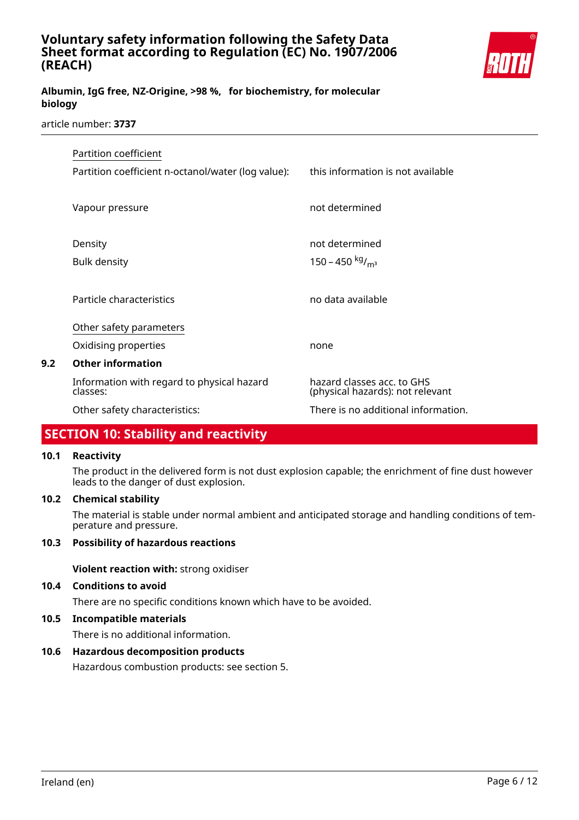

## **Albumin, IgG free, NZ-Origine, >98 %, for biochemistry, for molecular biology**

## article number: **3737**

| Partition coefficient |                                                        |                                                                |
|-----------------------|--------------------------------------------------------|----------------------------------------------------------------|
|                       | Partition coefficient n-octanol/water (log value):     | this information is not available                              |
|                       | Vapour pressure                                        | not determined                                                 |
|                       | Density                                                | not determined                                                 |
|                       | <b>Bulk density</b>                                    | 150 – 450 kg/ <sub>m<sup>3</sup></sub>                         |
|                       | Particle characteristics                               | no data available                                              |
|                       | Other safety parameters                                |                                                                |
|                       | Oxidising properties                                   | none                                                           |
| 9.2                   | <b>Other information</b>                               |                                                                |
|                       | Information with regard to physical hazard<br>classes: | hazard classes acc. to GHS<br>(physical hazards): not relevant |
|                       | Other safety characteristics:                          | There is no additional information.                            |

# **SECTION 10: Stability and reactivity**

## **10.1 Reactivity**

The product in the delivered form is not dust explosion capable; the enrichment of fine dust however leads to the danger of dust explosion.

## **10.2 Chemical stability**

The material is stable under normal ambient and anticipated storage and handling conditions of temperature and pressure.

## **10.3 Possibility of hazardous reactions**

**Violent reaction with:** strong oxidiser

## **10.4 Conditions to avoid**

There are no specific conditions known which have to be avoided.

## **10.5 Incompatible materials**

There is no additional information.

## **10.6 Hazardous decomposition products**

Hazardous combustion products: see section 5.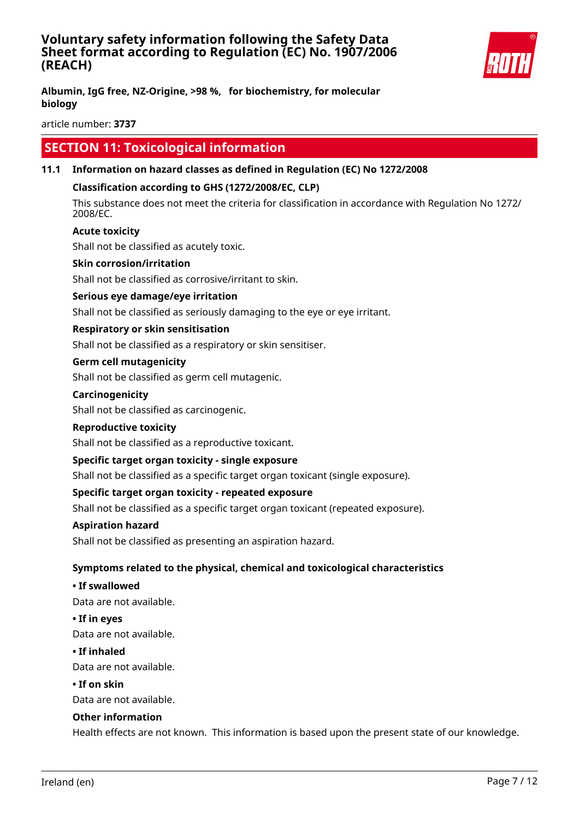

article number: **3737**

# **SECTION 11: Toxicological information**

## **11.1 Information on hazard classes as defined in Regulation (EC) No 1272/2008**

## **Classification according to GHS (1272/2008/EC, CLP)**

This substance does not meet the criteria for classification in accordance with Regulation No 1272/ 2008/EC.

## **Acute toxicity**

Shall not be classified as acutely toxic.

## **Skin corrosion/irritation**

Shall not be classified as corrosive/irritant to skin.

## **Serious eye damage/eye irritation**

Shall not be classified as seriously damaging to the eye or eye irritant.

## **Respiratory or skin sensitisation**

Shall not be classified as a respiratory or skin sensitiser.

## **Germ cell mutagenicity**

Shall not be classified as germ cell mutagenic.

#### **Carcinogenicity**

Shall not be classified as carcinogenic.

## **Reproductive toxicity**

Shall not be classified as a reproductive toxicant.

## **Specific target organ toxicity - single exposure**

Shall not be classified as a specific target organ toxicant (single exposure).

## **Specific target organ toxicity - repeated exposure**

Shall not be classified as a specific target organ toxicant (repeated exposure).

## **Aspiration hazard**

Shall not be classified as presenting an aspiration hazard.

## **Symptoms related to the physical, chemical and toxicological characteristics**

**• If swallowed**

Data are not available.

#### **• If in eyes**

Data are not available.

## **• If inhaled**

Data are not available.

## **• If on skin**

Data are not available.

## **Other information**

Health effects are not known. This information is based upon the present state of our knowledge.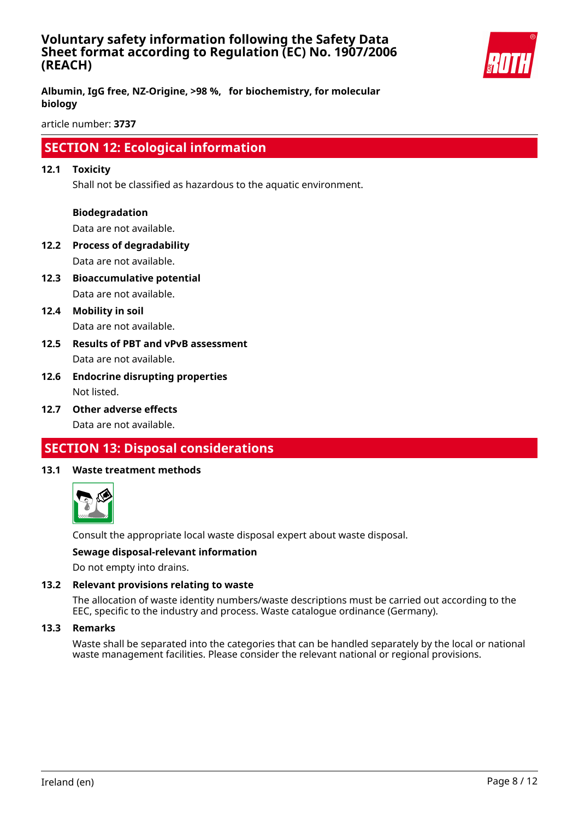

**Albumin, IgG free, NZ-Origine, >98 %, for biochemistry, for molecular biology**

article number: **3737**

# **SECTION 12: Ecological information**

## **12.1 Toxicity**

Shall not be classified as hazardous to the aquatic environment.

## **Biodegradation**

Data are not available.

- **12.2 Process of degradability** Data are not available.
- **12.3 Bioaccumulative potential** Data are not available.
- **12.4 Mobility in soil** Data are not available.
- **12.5 Results of PBT and vPvB assessment** Data are not available.
- **12.6 Endocrine disrupting properties** Not listed.
- **12.7 Other adverse effects**

Data are not available.

# **SECTION 13: Disposal considerations**

## **13.1 Waste treatment methods**



Consult the appropriate local waste disposal expert about waste disposal.

## **Sewage disposal-relevant information**

Do not empty into drains.

## **13.2 Relevant provisions relating to waste**

The allocation of waste identity numbers/waste descriptions must be carried out according to the EEC, specific to the industry and process. Waste catalogue ordinance (Germany).

#### **13.3 Remarks**

Waste shall be separated into the categories that can be handled separately by the local or national waste management facilities. Please consider the relevant national or regional provisions.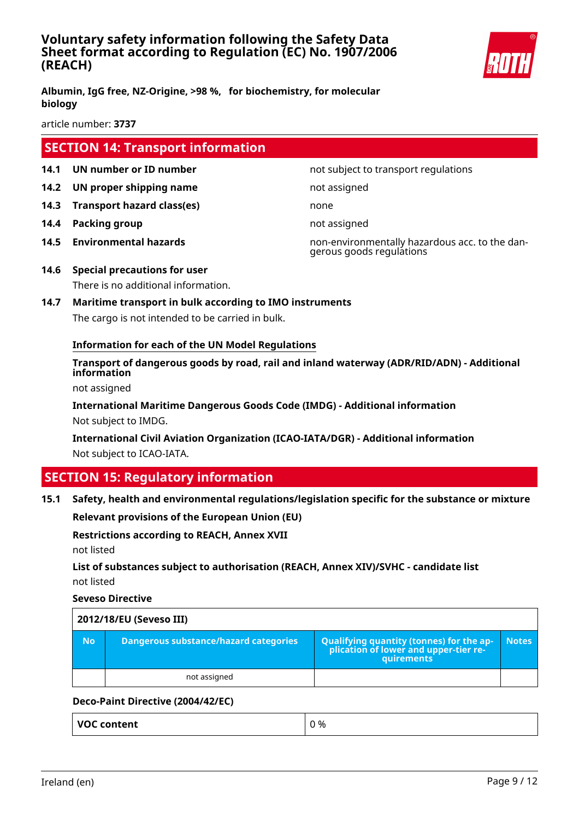

article number: **3737**

# **SECTION 14: Transport information**

- 
- **14.2 UN proper shipping name** not assigned
- **14.3 Transport hazard class(es)** none
- **14.4 Packing group not assigned**
- 

**14.1 UN number or ID number not subject to transport regulations** 

- **14.5 Environmental hazards** non-environmentally hazardous acc. to the dangerous goods regulations
- **14.6 Special precautions for user**

There is no additional information.

**14.7 Maritime transport in bulk according to IMO instruments** The cargo is not intended to be carried in bulk.

## **Information for each of the UN Model Regulations**

**Transport of dangerous goods by road, rail and inland waterway (ADR/RID/ADN) - Additional information**

not assigned

**International Maritime Dangerous Goods Code (IMDG) - Additional information** Not subject to IMDG.

**International Civil Aviation Organization (ICAO-IATA/DGR) - Additional information** Not subject to ICAO-IATA.

# **SECTION 15: Regulatory information**

**15.1 Safety, health and environmental regulations/legislation specific for the substance or mixture**

**Relevant provisions of the European Union (EU)**

**Restrictions according to REACH, Annex XVII** not listed

**List of substances subject to authorisation (REACH, Annex XIV)/SVHC - candidate list** not listed

## **Seveso Directive**

| 2012/18/EU (Seveso III) |                                       |                                                                                            |              |
|-------------------------|---------------------------------------|--------------------------------------------------------------------------------------------|--------------|
| <b>No</b>               | Dangerous substance/hazard categories | Qualifying quantity (tonnes) for the application of lower and upper-tier re-<br>quirements | <b>Notes</b> |
|                         | not assigned                          |                                                                                            |              |

## **Deco-Paint Directive (2004/42/EC)**

**VOC content**  $\begin{array}{ccc} \mid & 0 \leq 0 \end{array}$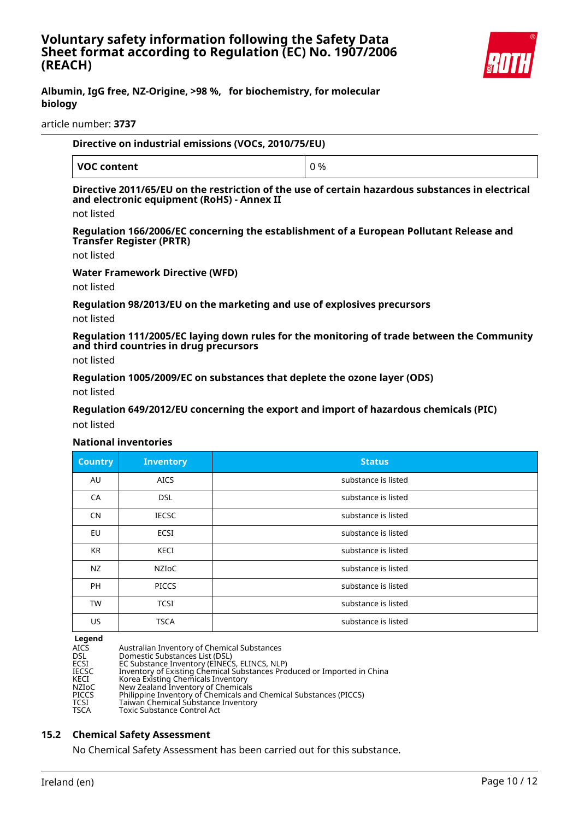

#### article number: **3737**

| Directive on industrial emissions (VOCs, 2010/75/EU) |     |  |
|------------------------------------------------------|-----|--|
| VOC content                                          | 0 % |  |

## **Directive 2011/65/EU on the restriction of the use of certain hazardous substances in electrical and electronic equipment (RoHS) - Annex II**

not listed

**Regulation 166/2006/EC concerning the establishment of a European Pollutant Release and Transfer Register (PRTR)**

not listed

**Water Framework Directive (WFD)**

not listed

**Regulation 98/2013/EU on the marketing and use of explosives precursors**

not listed

**Regulation 111/2005/EC laying down rules for the monitoring of trade between the Community and third countries in drug precursors**

not listed

**Regulation 1005/2009/EC on substances that deplete the ozone layer (ODS)**

not listed

**Regulation 649/2012/EU concerning the export and import of hazardous chemicals (PIC)**

not listed

## **National inventories**

| <b>Country</b> | <b>Inventory</b> | <b>Status</b>       |
|----------------|------------------|---------------------|
| AU             | <b>AICS</b>      | substance is listed |
| CA             | <b>DSL</b>       | substance is listed |
| <b>CN</b>      | <b>IECSC</b>     | substance is listed |
| EU             | ECSI             | substance is listed |
| KR             | KECI             | substance is listed |
| NZ             | <b>NZIOC</b>     | substance is listed |
| <b>PH</b>      | <b>PICCS</b>     | substance is listed |
| <b>TW</b>      | <b>TCSI</b>      | substance is listed |
| US.            | <b>TSCA</b>      | substance is listed |

**Legend**

| AICS  | Australian Inventory of Chemical Substances                             |
|-------|-------------------------------------------------------------------------|
| DSL   | Domestic Substances List (DSL)                                          |
| ECSI  | EC Substance Inventory (EINECS, ELINCS, NLP)                            |
| IECSC | Inventory of Existing Chemical Substances Produced or Imported in China |
| KECI  | Korea Existing Chemicals Inventory                                      |
| NZIoC | New Zealand Inventory of Chemicals                                      |
| PICCS | Philippine Inventory of Chemicals and Chemical Substances (PICCS)       |
| TCSI  | Taiwan Chemical Substance Inventory                                     |
| TSCA  | Toxic Substance Control Act                                             |
|       |                                                                         |

## **15.2 Chemical Safety Assessment**

No Chemical Safety Assessment has been carried out for this substance.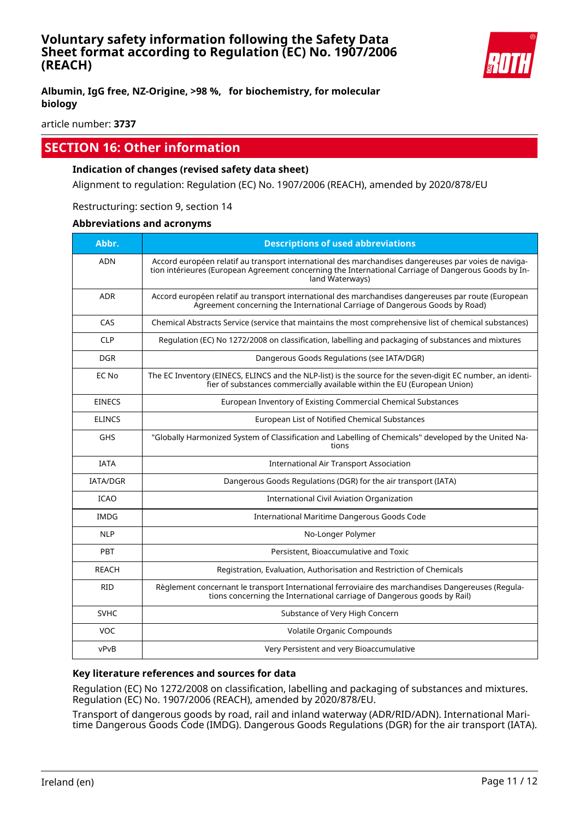

article number: **3737**

# **SECTION 16: Other information**

## **Indication of changes (revised safety data sheet)**

Alignment to regulation: Regulation (EC) No. 1907/2006 (REACH), amended by 2020/878/EU

Restructuring: section 9, section 14

## **Abbreviations and acronyms**

| Abbr.           | <b>Descriptions of used abbreviations</b>                                                                                                                                                                                       |
|-----------------|---------------------------------------------------------------------------------------------------------------------------------------------------------------------------------------------------------------------------------|
| <b>ADN</b>      | Accord européen relatif au transport international des marchandises dangereuses par voies de naviga-<br>tion intérieures (European Agreement concerning the International Carriage of Dangerous Goods by In-<br>land Waterways) |
| <b>ADR</b>      | Accord européen relatif au transport international des marchandises dangereuses par route (European<br>Agreement concerning the International Carriage of Dangerous Goods by Road)                                              |
| CAS             | Chemical Abstracts Service (service that maintains the most comprehensive list of chemical substances)                                                                                                                          |
| <b>CLP</b>      | Regulation (EC) No 1272/2008 on classification, labelling and packaging of substances and mixtures                                                                                                                              |
| <b>DGR</b>      | Dangerous Goods Regulations (see IATA/DGR)                                                                                                                                                                                      |
| EC No           | The EC Inventory (EINECS, ELINCS and the NLP-list) is the source for the seven-digit EC number, an identi-<br>fier of substances commercially available within the EU (European Union)                                          |
| <b>EINECS</b>   | European Inventory of Existing Commercial Chemical Substances                                                                                                                                                                   |
| <b>ELINCS</b>   | European List of Notified Chemical Substances                                                                                                                                                                                   |
| <b>GHS</b>      | "Globally Harmonized System of Classification and Labelling of Chemicals" developed by the United Na-<br>tions                                                                                                                  |
| <b>IATA</b>     | <b>International Air Transport Association</b>                                                                                                                                                                                  |
| <b>IATA/DGR</b> | Dangerous Goods Regulations (DGR) for the air transport (IATA)                                                                                                                                                                  |
| <b>ICAO</b>     | International Civil Aviation Organization                                                                                                                                                                                       |
| <b>IMDG</b>     | International Maritime Dangerous Goods Code                                                                                                                                                                                     |
| <b>NLP</b>      | No-Longer Polymer                                                                                                                                                                                                               |
| PBT             | Persistent, Bioaccumulative and Toxic                                                                                                                                                                                           |
| <b>REACH</b>    | Registration, Evaluation, Authorisation and Restriction of Chemicals                                                                                                                                                            |
| <b>RID</b>      | Règlement concernant le transport International ferroviaire des marchandises Dangereuses (Regula-<br>tions concerning the International carriage of Dangerous goods by Rail)                                                    |
| <b>SVHC</b>     | Substance of Very High Concern                                                                                                                                                                                                  |
| VOC             | Volatile Organic Compounds                                                                                                                                                                                                      |
| vPvB            | Very Persistent and very Bioaccumulative                                                                                                                                                                                        |

## **Key literature references and sources for data**

Regulation (EC) No 1272/2008 on classification, labelling and packaging of substances and mixtures. Regulation (EC) No. 1907/2006 (REACH), amended by 2020/878/EU.

Transport of dangerous goods by road, rail and inland waterway (ADR/RID/ADN). International Maritime Dangerous Goods Code (IMDG). Dangerous Goods Regulations (DGR) for the air transport (IATA).